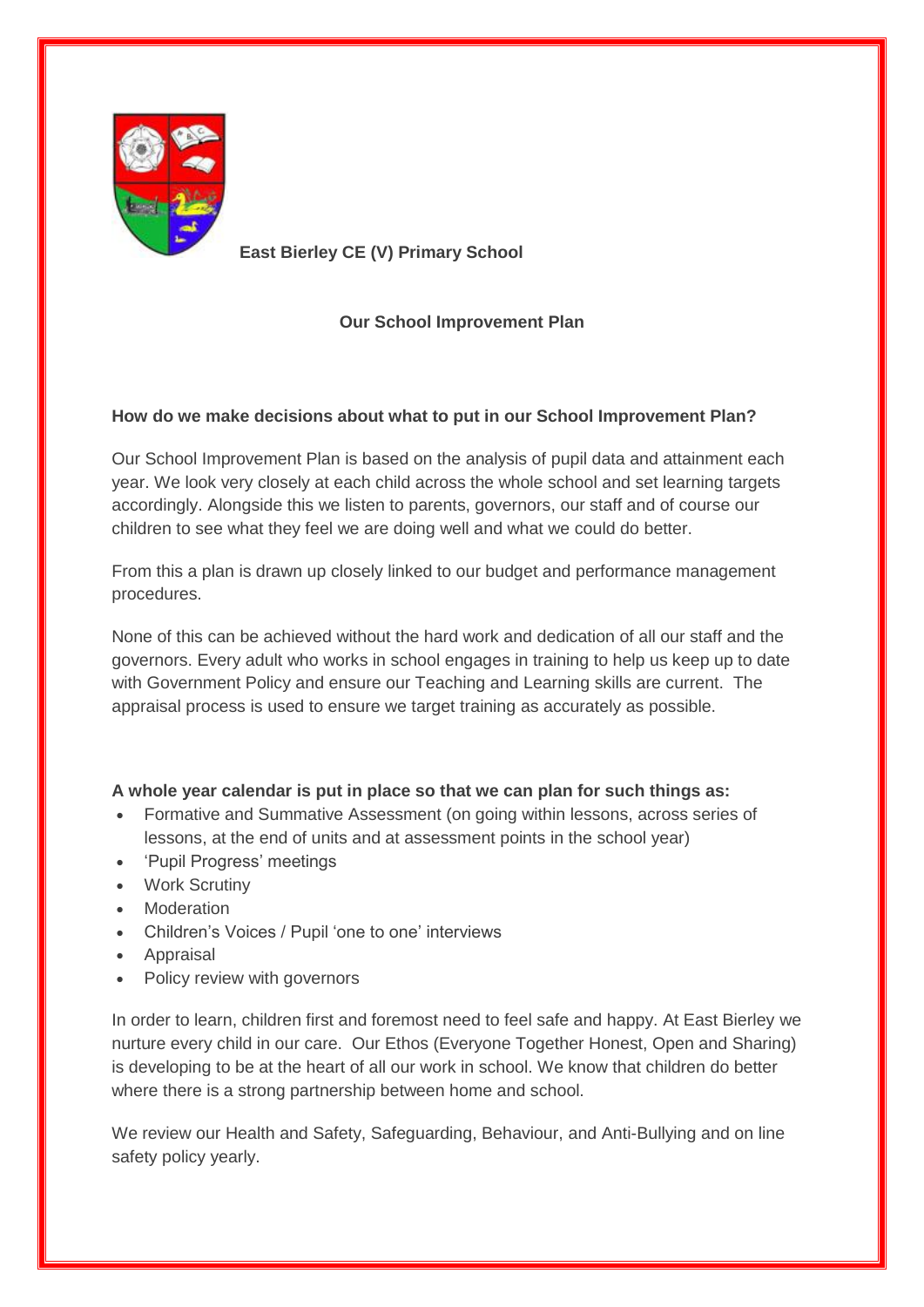

 **East Bierley CE (V) Primary School**

## **Our School Improvement Plan**

## **How do we make decisions about what to put in our School Improvement Plan?**

Our School Improvement Plan is based on the analysis of pupil data and attainment each year. We look very closely at each child across the whole school and set learning targets accordingly. Alongside this we listen to parents, governors, our staff and of course our children to see what they feel we are doing well and what we could do better.

From this a plan is drawn up closely linked to our budget and performance management procedures.

None of this can be achieved without the hard work and dedication of all our staff and the governors. Every adult who works in school engages in training to help us keep up to date with Government Policy and ensure our Teaching and Learning skills are current. The appraisal process is used to ensure we target training as accurately as possible.

## **A whole year calendar is put in place so that we can plan for such things as:**

- Formative and Summative Assessment (on going within lessons, across series of lessons, at the end of units and at assessment points in the school year)
- 'Pupil Progress' meetings
- Work Scrutiny
- Moderation
- Children's Voices / Pupil 'one to one' interviews
- Appraisal
- Policy review with governors

In order to learn, children first and foremost need to feel safe and happy. At East Bierley we nurture every child in our care. Our Ethos (Everyone Together Honest, Open and Sharing) is developing to be at the heart of all our work in school. We know that children do better where there is a strong partnership between home and school.

We review our Health and Safety, Safeguarding, Behaviour, and Anti-Bullying and on line safety policy yearly.